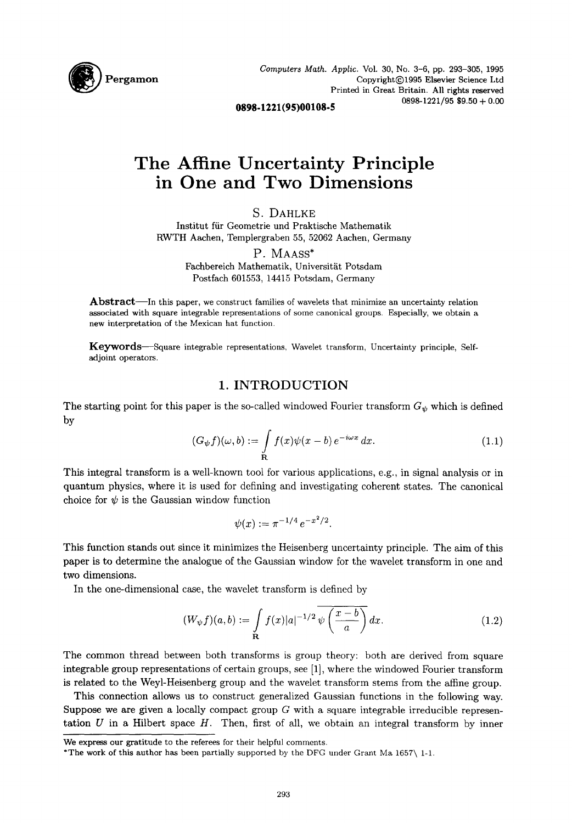

*Computers Math. Applic.* Vol. 30, No. 3-6, pp. 293-305, 1995 Copyright(C)1995 Elsevier Science Ltd Printed in Great Britain. All rights reserved  $0898-1221/95$  \$9.50 + 0.00

**0898.1221(95)00108-5** 

# **The Affine Uncertainty Principle in One and Two Dimensions**

S. DAHLKE

Institut fiir Geometrie und Praktische Mathematik RWTH Aachen, Templergraben 55, 52062 Aachen, Germany

P. MAASS\*

Fachbereich Mathematik, Universität Potsdam Postfach 601553, 14415 Potsdam, Germany

Abstract—In this paper, we construct families of wavelets that minimize an uncertainty relation associated with square integrable representations of some canonical groups. Especially, we obtain a new interpretation of the Mexican hat function.

Keywords--Square integrable representations, Wavelet transform, Uncertainty principle, Selfadjoint operators.

### 1. INTRODUCTION

The starting point for this paper is the so-called windowed Fourier transform  $G_{\psi}$  which is defined by

$$
(G_{\psi}f)(\omega, b) := \int_{\mathbf{R}} f(x)\psi(x - b) e^{-i\omega x} dx.
$$
 (1.1)

This integral transform is a well-known tool for various applications, e.g., in signal analysis or in quantum physics, where it is used for defining and investigating coherent states. The canonical choice for  $\psi$  is the Gaussian window function

$$
\psi(x) := \pi^{-1/4} e^{-x^2/2}.
$$

This function stands out since it minimizes the Heisenberg uncertainty principle. The aim of this paper is to determine the analogue of the Gaussian window for the wavelet transform in one and two dimensions.

In the one-dimensional case, the wavelet transform is defined by

$$
(W_{\psi}f)(a,b) := \int_{\mathbf{R}} f(x)|a|^{-1/2} \overline{\psi\left(\frac{x-b}{a}\right)} dx.
$$
 (1.2)

The common thread between both transforms is group theory: both are derived from square integrable group representations of certain groups, see [1], where the windowed Fourier transform is related to the Weyl-Heisenberg group and the wavelet transform stems from the affine group.

This connection allows us to construct generalized Gaussian functions in the following way. Suppose we are given a locally compact group  $G$  with a square integrable irreducible representation  $U$  in a Hilbert space  $H$ . Then, first of all, we obtain an integral transform by inner

We express our gratitude to the referees for their helpful comments.

<sup>\*</sup>The work of this author has been partially supported by the DFG under Grant Ma 1657\ 1-1.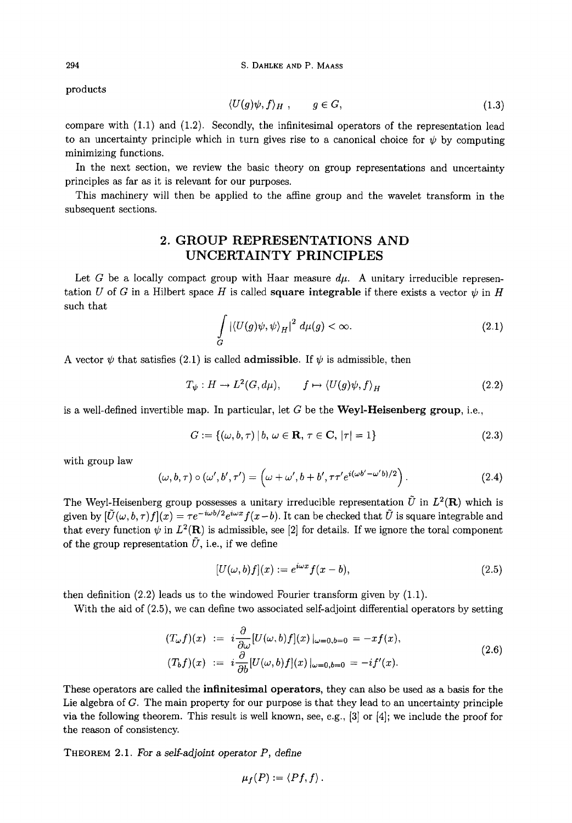products

$$
\langle U(g)\psi, f\rangle_H \ , \qquad g \in G, \tag{1.3}
$$

compare with  $(1.1)$  and  $(1.2)$ . Secondly, the infinitesimal operators of the representation lead to an uncertainty principle which in turn gives rise to a canonical choice for  $\psi$  by computing minimizing functions.

In the next section, we review the basic theory on group representations and uncertainty principles as far as it is relevant for our purposes.

This machinery will then be applied to the affine group and the wavelet transform in the subsequent sections.

## **2. GROUP REPRESENTATIONS AND UNCERTAINTY PRINCIPLES**

Let G be a locally compact group with Haar measure  $d\mu$ . A unitary irreducible representation U of G in a Hilbert space H is called **square integrable** if there exists a vector  $\psi$  in H such that

$$
\int\limits_G |\langle U(g)\psi,\psi\rangle_H|^2 \ d\mu(g) < \infty. \tag{2.1}
$$

A vector  $\psi$  that satisfies (2.1) is called **admissible**. If  $\psi$  is admissible, then

$$
T_{\psi}: H \to L^2(G, d\mu), \qquad f \mapsto \langle U(g)\psi, f \rangle_H \tag{2.2}
$$

is a well-defined invertible map. In particular, let  $G$  be the Weyl-Heisenberg group, i.e.,

$$
G := \{ (\omega, b, \tau) \, | \, b, \, \omega \in \mathbf{R}, \, \tau \in \mathbf{C}, \, |\tau| = 1 \}
$$
\n(2.3)

with group law

$$
(\omega, b, \tau) \circ (\omega', b', \tau') = \left(\omega + \omega', b + b', \tau \tau' e^{i(\omega b' - \omega' b)/2}\right). \tag{2.4}
$$

The Weyl-Heisenberg group possesses a unitary irreducible representation  $\tilde{U}$  in  $L^2(\mathbf{R})$  which is given by  $[\tilde{U}(\omega, b, \tau) f](x) = \tau e^{-i\omega b/2} e^{i\omega x} f(x - b)$ . It can be checked that  $\tilde{U}$  is square integrable and that every function  $\psi$  in  $L^2(\mathbf{R})$  is admissible, see [2] for details. If we ignore the toral component of the group representation  $\tilde{U}$ , i.e., if we define

$$
[U(\omega, b)f](x) := e^{i\omega x} f(x - b), \qquad (2.5)
$$

then definition (2.2) leads us to the windowed Fourier transform given by (1.1).

With the aid of  $(2.5)$ , we can define two associated self-adjoint differential operators by setting

$$
(T_{\omega}f)(x) := i \frac{\partial}{\partial \omega} [U(\omega, b)f](x)|_{\omega=0, b=0} = -xf(x),
$$
  
\n
$$
(T_b f)(x) := i \frac{\partial}{\partial b} [U(\omega, b)f](x)|_{\omega=0, b=0} = -if'(x).
$$
\n(2.6)

These operators are called the infinitesimal operators, they can also be used as a basis for the Lie algebra of G. The main property for our purpose is that they lead to an uncertainty principle via the following theorem. This result is well known, see, e.g.,  $[3]$  or  $[4]$ ; we include the proof for the reason of consistency.

**THEOREM** 2.1. *For a self-adjoint operator P, define* 

$$
\mu_f(P):=\langle Pf,f\rangle.
$$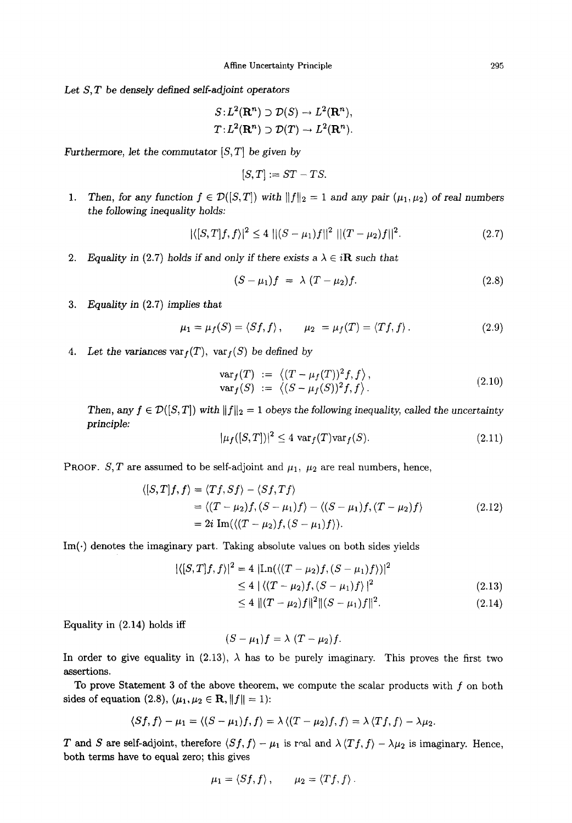Let S, T be densely *defined self-adjoint operators* 

$$
S: L^{2}(\mathbf{R}^{n}) \supset \mathcal{D}(S) \to L^{2}(\mathbf{R}^{n}),
$$
  

$$
T: L^{2}(\mathbf{R}^{n}) \supset \mathcal{D}(T) \to L^{2}(\mathbf{R}^{n}).
$$

*Furthermore, let the commutator*  $[S, T]$  *be given by* 

$$
[S,T] := ST - TS.
$$

*1.* Then, for any function  $f \in \mathcal{D}([S,T])$  with  $||f||_2 = 1$  and any pair  $(\mu_1, \mu_2)$  of real numbers the *following inequality holds:* 

$$
|\langle [S,T]f,f\rangle|^2 \le 4 \, \, ||(S-\mu_1)f||^2 \, \, ||(T-\mu_2)f||^2. \tag{2.7}
$$

2. Equality in (2.7) holds if and only if there exists a  $\lambda \in i\mathbb{R}$  such that

$$
(S - \mu_1)f = \lambda (T - \mu_2)f. \qquad (2.8)
$$

*. Equality in* (2.7) *implies that* 

$$
\mu_1 = \mu_f(S) = \langle Sf, f \rangle, \qquad \mu_2 = \mu_f(T) = \langle Tf, f \rangle. \tag{2.9}
$$

*Let the variances*  $var_f(T)$ ,  $var_f(S)$  *be defined by* 

$$
\begin{array}{rcl}\n\text{var}_f(T) & := \langle (T - \mu_f(T))^2 f, f \rangle, \\
\text{var}_f(S) & := \langle (S - \mu_f(S))^2 f, f \rangle.\n\end{array} \tag{2.10}
$$

*Then, any*  $f \in \mathcal{D}([S,T])$  *with*  $||f||_2 = 1$  *obeys the following inequality, called the uncertainty principle:* 

$$
|\mu_f([S,T])|^2 \le 4 \operatorname{var}_f(T) \operatorname{var}_f(S). \tag{2.11}
$$

**PROOF.** S, T are assumed to be self-adjoint and  $\mu_1$ ,  $\mu_2$  are real numbers, hence,

$$
\langle [S,T]f,f\rangle = \langle Tf, Sf\rangle - \langle Sf,Tf\rangle
$$
  
=  $\langle (T-\mu_2)f, (S-\mu_1)f\rangle - \langle (S-\mu_1)f, (T-\mu_2)f\rangle$  (2.12)  
=  $2i \operatorname{Im}(\langle (T-\mu_2)f, (S-\mu_1)f\rangle).$ 

 $Im(\cdot)$  denotes the imaginary part. Taking absolute values on both sides yields

$$
|\langle [S,T]f,f\rangle|^2 = 4 |\text{Ln}(\langle (T-\mu_2)f, (S-\mu_1)f\rangle)|^2
$$
  
\n
$$
\leq 4 |\langle (T-\mu_2)f, (S-\mu_1)f\rangle|^2
$$
(2.13)

$$
\leq 4 \|(T - \mu_2)f\|^2 \|(S - \mu_1)f\|^2. \tag{2.14}
$$

Equality in (2.14) holds iff

$$
(S-\mu_1)f=\lambda(T-\mu_2)f.
$$

In order to give equality in (2.13),  $\lambda$  has to be purely imaginary. This proves the first two assertions.

To prove Statement 3 of the above theorem, we compute the scalar products with f on both sides of equation (2.8),  $(\mu_1, \mu_2 \in \mathbf{R}, ||f|| = 1)$ :

$$
\langle Sf, f\rangle - \mu_1 = \langle (S-\mu_1)f, f\rangle = \lambda \langle (T-\mu_2)f, f\rangle = \lambda \langle Tf, f\rangle - \lambda \mu_2.
$$

T and S are self-adjoint, therefore  $\langle Sf, f \rangle - \mu_1$  is roal and  $\lambda \langle Tf, f \rangle - \lambda \mu_2$  is imaginary. Hence, both terms have to equal zero; this gives

$$
\mu_1 = \langle Sf, f \rangle\,, \qquad \mu_2 = \langle Tf, f \rangle\,.
$$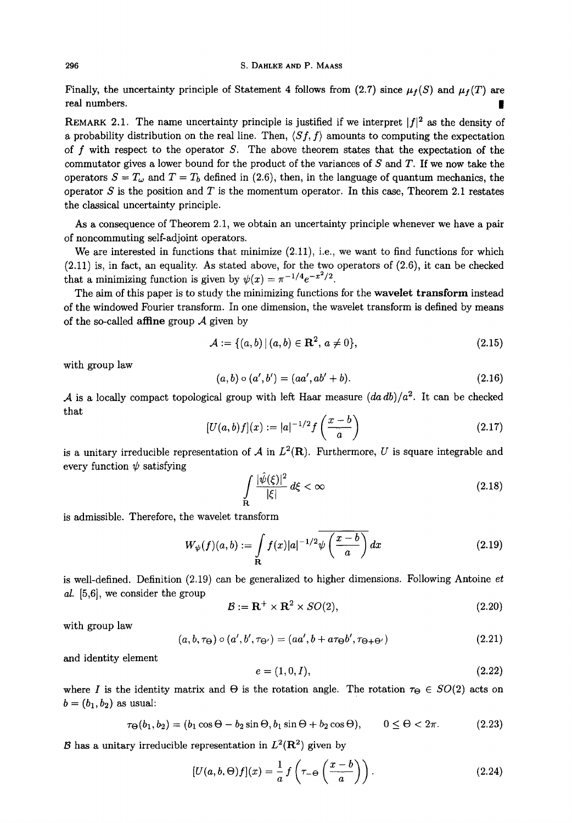Finally, the uncertainty principle of Statement 4 follows from (2.7) since  $\mu_f(S)$  and  $\mu_f(T)$  are real numbers.

REMARK 2.1. The name uncertainty principle is justified if we interpret  $|f|^2$  as the density of a probability distribution on the real line. Then,  $\langle Sf, f \rangle$  amounts to computing the expectation of f with respect to the operator  $S$ . The above theorem states that the expectation of the commutator gives a lower bound for the product of the variances of  $S$  and  $T$ . If we now take the operators  $S = T_{\omega}$  and  $T = T_b$  defined in (2.6), then, in the language of quantum mechanics, the operator  $S$  is the position and  $T$  is the momentum operator. In this case, Theorem 2.1 restates the classical uncertainty principle.

As a consequence of Theorem 2.1, we obtain an uncertainty principle whenever we have a pair of noncommuting self-adjoint operators.

We are interested in functions that minimize  $(2.11)$ , i.e., we want to find functions for which (2.11) is, in fact, an equality. As stated above, for the two operators of (2.6), it can be checked that a minimizing function is given by  $\psi(x) = \pi^{-1/4}e^{-x^2/2}$ .

The aim of this paper is to study the minimizing functions for the wavelet transform instead of the windowed Fourier transform. In one dimension, the wavelet transform is defined by means of the so-called **affine** group  $\mathcal A$  given by

$$
\mathcal{A} := \{ (a, b) \, | \, (a, b) \in \mathbf{R}^2, \, a \neq 0 \},\tag{2.15}
$$

with group law

$$
(a,b) \circ (a',b') = (aa', ab' + b). \tag{2.16}
$$

A is a locally compact topological group with left Haar measure  $(da db)/a^2$ . It can be checked that

$$
[U(a,b)f](x) := |a|^{-1/2} f\left(\frac{x-b}{a}\right) \tag{2.17}
$$

is a unitary irreducible representation of A in  $L^2(\mathbf{R})$ . Furthermore, U is square integrable and every function  $\psi$  satisfying

$$
\int_{\mathbf{R}} \frac{|\hat{\psi}(\xi)|^2}{|\xi|} d\xi < \infty \tag{2.18}
$$

is admissible. Therefore, the wavelet transform

$$
W_{\psi}(f)(a,b) := \int_{\mathbf{R}} f(x)|a|^{-1/2}\psi\left(\frac{x-b}{a}\right)dx\tag{2.19}
$$

is well-defined. Definition (2.19) can be generalized to higher dimensions. Following Antoine *et al.* [5,6], we consider the group

$$
\mathcal{B} := \mathbf{R}^+ \times \mathbf{R}^2 \times SO(2),\tag{2.20}
$$

with group law

$$
(a, b, \tau_{\Theta}) \circ (a', b', \tau_{\Theta'}) = (aa', b + a\tau_{\Theta}b', \tau_{\Theta + \Theta'}) \tag{2.21}
$$

and identity element

$$
e = (1, 0, I), \tag{2.22}
$$

where I is the identity matrix and  $\Theta$  is the rotation angle. The rotation  $\tau_{\Theta} \in SO(2)$  acts on  $b = (b_1, b_2)$  as usual:

$$
\tau_{\Theta}(b_1, b_2) = (b_1 \cos \Theta - b_2 \sin \Theta, b_1 \sin \Theta + b_2 \cos \Theta), \qquad 0 \le \Theta < 2\pi. \tag{2.23}
$$

B has a unitary irreducible representation in  $L^2(\mathbf{R}^2)$  given by

$$
[U(a,b,\Theta)f](x) = \frac{1}{a} f\left(\tau_{-\Theta}\left(\frac{x-b}{a}\right)\right). \tag{2.24}
$$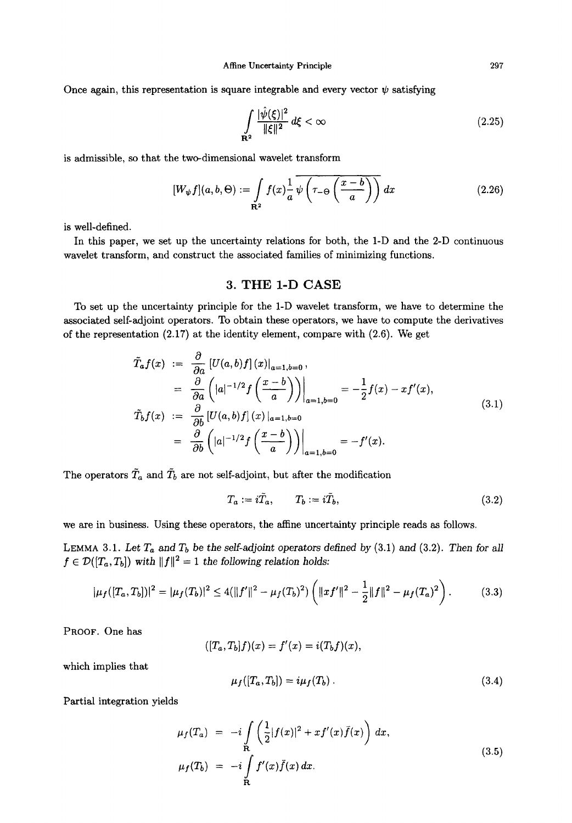Once again, this representation is square integrable and every vector  $\psi$  satisfying

$$
\int_{\mathbf{R}^2} \frac{|\hat{\psi}(\xi)|^2}{\|\xi\|^2} d\xi < \infty \tag{2.25}
$$

is admissible, so that the two-dimensional wavelet transform

$$
[W_{\psi}f](a,b,\Theta) := \int_{\mathbf{R}^2} f(x) \frac{1}{a} \overline{\psi\left(\tau_{-\Theta}\left(\frac{x-b}{a}\right)\right)} dx \tag{2.26}
$$

is well-defined.

In this paper, we set up the uncertainty relations for both, the 1-D and the 2-D continuous wavelet transform, and construct the associated families of minimizing functions.

#### **3.** THE 1-D CASE

To set up the uncertainty principle for the 1-D wavelet transform, we have to determine the associated self-adjoint operators. To obtain these operators, we have to compute the derivatives of the representation (2.17) at the identity element, compare with (2.6). We get

$$
\tilde{T}_a f(x) := \frac{\partial}{\partial a} \left[ U(a, b) f \right](x) |_{a=1, b=0},
$$
\n
$$
= \frac{\partial}{\partial a} \left( |a|^{-1/2} f \left( \frac{x - b}{a} \right) \right) \Big|_{a=1, b=0} = -\frac{1}{2} f(x) - x f'(x),
$$
\n
$$
\tilde{T}_b f(x) := \frac{\partial}{\partial b} \left[ U(a, b) f \right](x) |_{a=1, b=0}
$$
\n
$$
= \frac{\partial}{\partial b} \left( |a|^{-1/2} f \left( \frac{x - b}{a} \right) \right) \Big|_{a=1, b=0} = -f'(x).
$$
\n(3.1)

The operators  $\tilde{T}_a$  and  $\tilde{T}_b$  are not self-adjoint, but after the modification

$$
T_a := i\tilde{T}_a, \qquad T_b := i\tilde{T}_b,\tag{3.2}
$$

we are in business. Using these operators, the affine uncertainty principle reads as follows.

LEMMA 3.1. Let  $T_a$  and  $T_b$  be the self-adjoint operators defined by  $(3.1)$  and  $(3.2)$ . Then for all  $f \in \mathcal{D}([T_a, T_b])$  with  $||f||^2 = 1$  the following relation holds:

$$
|\mu_f([T_a, T_b])|^2 = |\mu_f(T_b)|^2 \le 4(||f'||^2 - \mu_f(T_b)^2) \left(||xf'||^2 - \frac{1}{2}||f||^2 - \mu_f(T_a)^2\right).
$$
 (3.3)

PROOF. One has

$$
([T_a,T_b]f)(x)=f'(x)=i(T_bf)(x),
$$

which implies that

$$
\mu_f([T_a, T_b]) = i\mu_f(T_b). \qquad (3.4)
$$

Partial integration yields

$$
\mu_f(T_a) = -i \int\limits_{\mathbf{R}} \left( \frac{1}{2} |f(x)|^2 + x f'(x) \bar{f}(x) \right) dx,
$$
  
\n
$$
\mu_f(T_b) = -i \int\limits_{\mathbf{R}} f'(x) \bar{f}(x) dx.
$$
\n(3.5)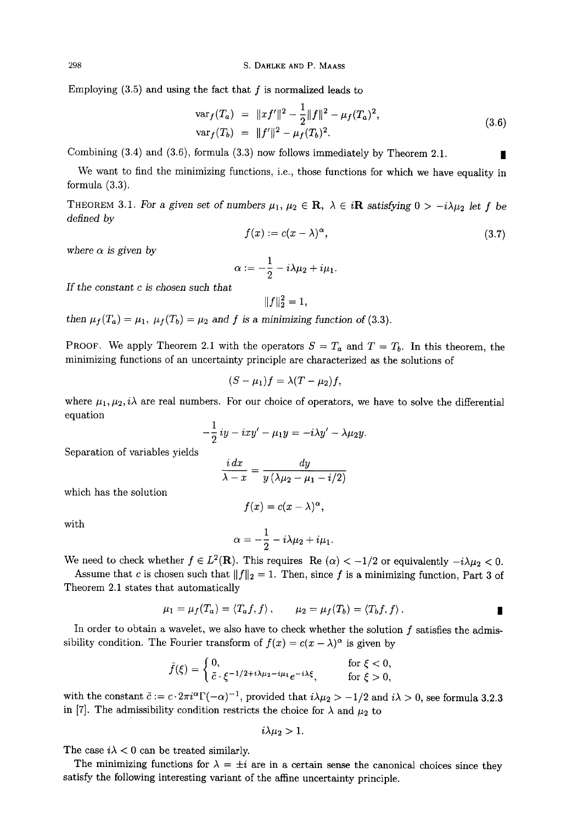Employing  $(3.5)$  and using the fact that  $f$  is normalized leads to

$$
\begin{aligned}\n\text{var}_f(T_a) &= \|xf'\|^2 - \frac{1}{2} \|f\|^2 - \mu_f(T_a)^2, \\
\text{var}_f(T_b) &= \|f'\|^2 - \mu_f(T_b)^2.\n\end{aligned} \tag{3.6}
$$

Combining  $(3.4)$  and  $(3.6)$ , formula  $(3.3)$  now follows immediately by Theorem 2.1.

We want to find the minimizing functions, i.e., those functions for which we have equality in formula (3.3).

THEOREM 3.1. *For a given set of numbers*  $\mu_1, \mu_2 \in \mathbf{R}, \lambda \in i\mathbf{R}$  satisfying  $0 > -i\lambda\mu_2$  let f be *defined by* 

$$
f(x) := c(x - \lambda)^{\alpha},\tag{3.7}
$$

where  $\alpha$  is given by

$$
\alpha:=-\frac{1}{2}-i\lambda\mu_2+i\mu_1.
$$

*If the constant c is chosen such that* 

$$
||f||_2^2 = 1,
$$

*then*  $\mu_f(T_a) = \mu_1$ ,  $\mu_f(T_b) = \mu_2$  *and f is a minimizing function of (3.3).* 

PROOF. We apply Theorem 2.1 with the operators  $S = T_a$  and  $T = T_b$ . In this theorem, the minimizing functions of an uncertainty principle are characterized as the solutions of

$$
(S - \mu_1)f = \lambda (T - \mu_2)f,
$$

where  $\mu_1, \mu_2, i\lambda$  are real numbers. For our choice of operators, we have to solve the differential equation

$$
-\frac{1}{2}iy -ixy' - \mu_1y = -i\lambda y' - \lambda \mu_2y.
$$

Separation of variables yields

$$
\frac{i\,dx}{\lambda-x}=\frac{dy}{y\left(\lambda\mu_2-\mu_1-i/2\right)}
$$

which has the solution

$$
f(x)=c(x-\lambda)^{\alpha},
$$

with

$$
\alpha=-\frac{1}{2}-i\lambda\mu_2+i\mu_1.
$$

We need to check whether  $f \in L^2(\mathbf{R})$ . This requires Re  $(\alpha) < -1/2$  or equivalently  $-i\lambda \mu_2 < 0$ .

Assume that c is chosen such that  $||f||_2 = 1$ . Then, since f is a minimizing function, Part 3 of Theorem 2.1 states that automatically

$$
\mu_1 = \mu_f(T_a) = \langle T_a f, f \rangle, \qquad \mu_2 = \mu_f(T_b) = \langle T_b f, f \rangle.
$$

In order to obtain a wavelet, we also have to check whether the solution  $f$  satisfies the admissibility condition. The Fourier transform of  $f(x) = c(x - \lambda)^{\alpha}$  is given by

$$
\hat{f}(\xi) = \begin{cases} 0, & \text{for } \xi < 0, \\ \tilde{c} \cdot \xi^{-1/2 + i\lambda \mu_2 - i\mu_1} e^{-i\lambda \xi}, & \text{for } \xi > 0, \end{cases}
$$

with the constant  $\tilde{c} := c \cdot 2\pi i^{\alpha} \Gamma(-\alpha)^{-1}$ , provided that  $i\lambda \mu_2 > -1/2$  and  $i\lambda > 0$ , see formula 3.2.3 in [7]. The admissibility condition restricts the choice for  $\lambda$  and  $\mu_2$  to

$$
i\lambda\mu_2>1.
$$

The case  $i\lambda < 0$  can be treated similarly.

The minimizing functions for  $\lambda = \pm i$  are in a certain sense the canonical choices since they satisfy the following interesting variant of the affine uncertainty principle.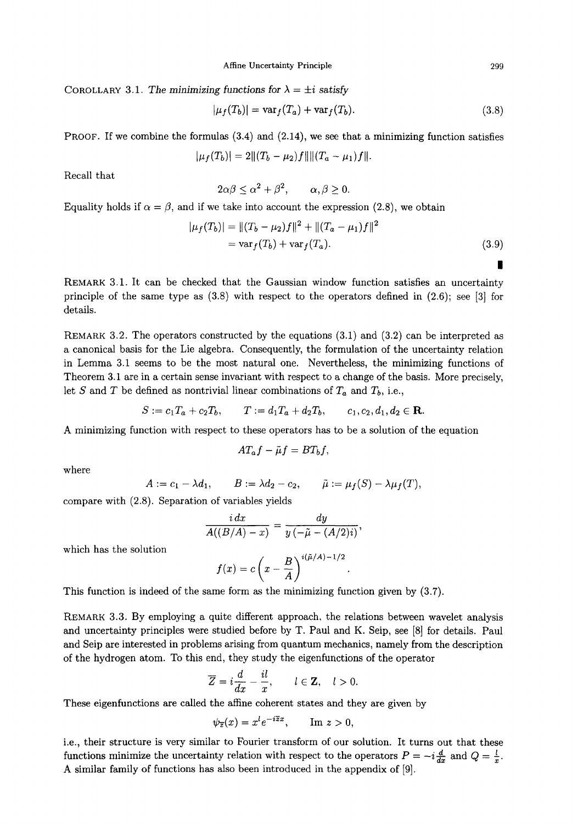COROLLARY 3.1. The minimizing functions for  $\lambda = \pm i$  satisfy

$$
|\mu_f(T_b)| = \text{var}_f(T_a) + \text{var}_f(T_b). \tag{3.8}
$$

**PROOF.** If we combine the formulas  $(3.4)$  and  $(2.14)$ , we see that a minimizing function satisfies

$$
|\mu_f(T_b)|=2||(T_b-\mu_2)f||||(T_a-\mu_1)f||.
$$

Recall that

$$
2\alpha\beta\leq \alpha^2+\beta^2, \qquad \alpha,\beta\geq 0.
$$

Equality holds if  $\alpha = \beta$ , and if we take into account the expression (2.8), we obtain

$$
|\mu_f(T_b)| = ||(T_b - \mu_2)f||^2 + ||(T_a - \mu_1)f||^2
$$
  
=  $\text{var}_f(T_b) + \text{var}_f(T_a).$  (3.9)

REMARK 3.1. It can be checked that the Gaussian window function satisfies an uncertainty principle of the same type as  $(3.8)$  with respect to the operators defined in  $(2.6)$ ; see [3] for details.

REMARK 3.2. The operators constructed by the equations (3.1) and (3.2) can be interpreted as a canonical basis for the Lie algebra. Consequently, the formulation of the uncertainty relation in Lemma 3.1 seems to be the most natural one. Nevertheless, the minimizing functions of Theorem 3.1 are in a certain sense invariant with respect to a change of the basis. More precisely, let S and T be defined as nontrivial linear combinations of  $T_a$  and  $T_b$ , i.e.,

$$
S := c_1 T_a + c_2 T_b, \qquad T := d_1 T_a + d_2 T_b, \qquad c_1, c_2, d_1, d_2 \in \mathbf{R}.
$$

A minimizing function with respect to these operators has to be a solution of the equation

$$
AT_af - \tilde{\mu}f = BT_bf,
$$

where

$$
A := c_1 - \lambda d_1, \qquad B := \lambda d_2 - c_2, \qquad \tilde{\mu} := \mu_f(S) - \lambda \mu_f(T),
$$

compare with (2.8). Separation of variables yields

$$
\frac{i\,dx}{A((B/A)-x)}=\frac{dy}{y\left(-\tilde{\mu}-(A/2)i\right)},
$$

which has the solution

$$
f(x) = c\left(x - \frac{B}{A}\right)^{i(\tilde{\mu}/A) - 1/2}
$$

This function is indeed of the same form as the minimizing function given by (3.7).

REMARK 3.3. By employing a quite different approach, the relations between wavelet analysis and uncertainty principles were studied before by T. Paul and K. Seip, see [8] for details. Paul and Seip are interested in problems arising from quantum mechanics, namely from the description of the hydrogen atom. To this end, they study the eigenfunctions of the operator

$$
\overline{Z}=i\frac{d}{dx}-\frac{il}{x}, \qquad l\in \mathbf{Z}, \quad l>0.
$$

These eigenfunctions are called the affine coherent states and they are given by

$$
\psi_{\overline{z}}(x) = x^l e^{-i\overline{z}x}, \qquad \text{Im } z > 0,
$$

i.e., their structure is very similar to Fourier transform of our solution. It turns out that these functions minimize the uncertainty relation with respect to the operators  $P = -i\frac{a}{dx}$  and  $Q = \frac{l}{x}$ A similar family of functions has also been introduced in the appendix of [9].

*|*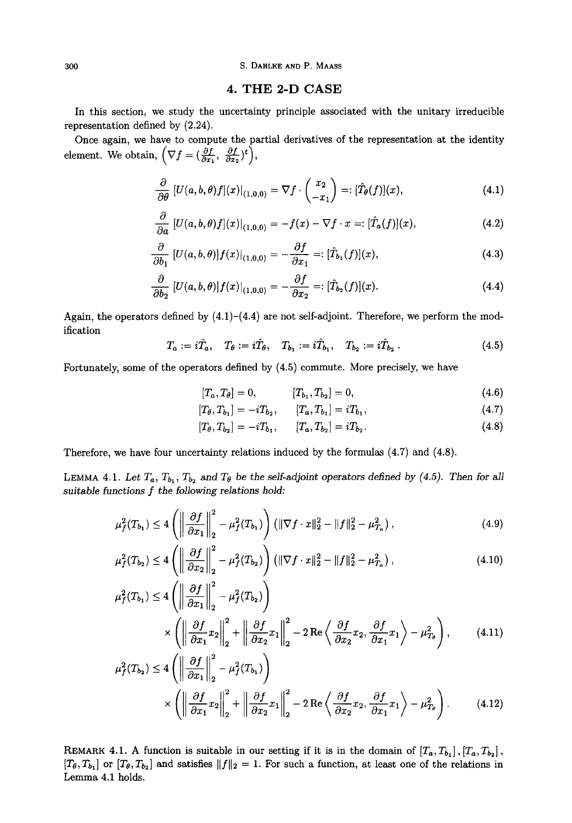#### 300 S. DAHLKE AND P. MAASS

#### **4. THE 2-D CASE**

In this section, we study the uncertainty principle associated with the unitary irreducible representation defined by (2.24).

Once again, we have to compute the partial derivatives of the representation at the identity  $\partial f$   $\partial f$  \t \ element. We obtain,  $(\nabla f = (\frac{\partial f}{\partial x_1}, \frac{\partial f}{\partial x_2})^t),$ 

$$
\frac{\partial}{\partial \theta} \left[ U(a,b,\theta)f \right](x)|_{(1,0,0)} = \nabla f \cdot \begin{pmatrix} x_2 \\ -x_1 \end{pmatrix} =: [\hat{T}_{\theta}(f)](x), \tag{4.1}
$$

$$
\frac{\partial}{\partial a}\left[U(a,b,\theta)f](x)\right|_{(1,0,0)} = -f(x) - \nabla f \cdot x =: [\hat{T}_a(f)](x),\tag{4.2}
$$

$$
\frac{\partial}{\partial b_1} \left[ U(a, b, \theta) \right] f(x) \big|_{(1, 0, 0)} = -\frac{\partial f}{\partial x_1} =: [\hat{T}_{b_1}(f)](x), \tag{4.3}
$$

$$
\frac{\partial}{\partial b_2} \left[ U(a, b, \theta) \right] f(x) \big|_{(1, 0, 0)} = -\frac{\partial f}{\partial x_2} =: [\hat{T}_{b_2}(f)](x). \tag{4.4}
$$

Again, the operators defined by  $(4.1)$ – $(4.4)$  are not self-adjoint. Therefore, we perform the modification

$$
T_a := i\hat{T}_a, \quad T_\theta := i\hat{T}_\theta, \quad T_{b_1} := i\hat{T}_{b_1}, \quad T_{b_2} := i\hat{T}_{b_2} \,. \tag{4.5}
$$

Fortunately, some of the operators defined by (4.5) commute. More precisely, we have

$$
[T_a, T_\theta] = 0, \qquad [T_{b_1}, T_{b_2}] = 0, \qquad (4.6)
$$

$$
[T_{\theta}, T_{b_1}] = -iT_{b_2}, \qquad [T_a, T_{b_1}] = iT_{b_1}, \qquad (4.7)
$$

$$
[T_{\theta}, T_{b_2}] = -i T_{b_1}, \qquad [T_a, T_{b_2}] = i T_{b_2}.
$$
\n(4.8)

Therefore, we have four uncertainty relations induced by the formulas (4.7) and (4.8).

LEMMA 4.1. Let  $T_a$ ,  $T_{b_1}$ ,  $T_{b_2}$  and  $T_{\theta}$  be the self-adjoint operators defined by (4.5). Then for all *suitable functions f* the *following relations hold:* 

$$
\mu_f^2(T_{b_1}) \le 4 \left( \left\| \frac{\partial f}{\partial x_1} \right\|_2^2 - \mu_f^2(T_{b_1}) \right) \left( \|\nabla f \cdot x\|_2^2 - \|f\|_2^2 - \mu_{T_a}^2 \right),\tag{4.9}
$$

$$
\mu_f^2(T_{b_2}) \le 4 \left( \left\| \frac{\partial f}{\partial x_2} \right\|_2^2 - \mu_f^2(T_{b_2}) \right) \left( \|\nabla f \cdot x\|_2^2 - \|f\|_2^2 - \mu_{T_a}^2 \right),\tag{4.10}
$$

$$
\mu_f^2(T_{b_1}) \le 4 \left( \left\| \frac{\partial f}{\partial x_1} \right\|_2^2 - \mu_f^2(T_{b_2}) \right) \times \left( \left\| \frac{\partial f}{\partial x_1} x_2 \right\|_2^2 + \left\| \frac{\partial f}{\partial x_2} x_1 \right\|_2^2 - 2 \operatorname{Re} \left\langle \frac{\partial f}{\partial x_2} x_2, \frac{\partial f}{\partial x_1} x_1 \right\rangle - \mu_{T_{b}}^2 \right), \tag{4.11}
$$

$$
\mu_f^2(T_{b_2}) \le 4 \left( \left\| \frac{\partial f}{\partial x_1} \right\|_2^2 - \mu_f^2(T_{b_1}) \right) \times \left( \left\| \frac{\partial f}{\partial x_1} x_2 \right\|_2^2 + \left\| \frac{\partial f}{\partial x_2} x_1 \right\|_2^2 - 2 \operatorname{Re} \left\langle \frac{\partial f}{\partial x_2} x_2, \frac{\partial f}{\partial x_1} x_1 \right\rangle - \mu_{T_0}^2 \right). \tag{4.12}
$$

REMARK 4.1. A function is suitable in our setting if it is in the domain of  $[T_a, T_{b_1}]$ ,  $[T_a, T_{b_2}]$ ,  $[T_{\theta},T_{b_1}]$  or  $[T_{\theta},T_{b_2}]$  and satisfies  $||f||_2 = 1$ . For such a function, at least one of the relations in Lemma 4.1 holds.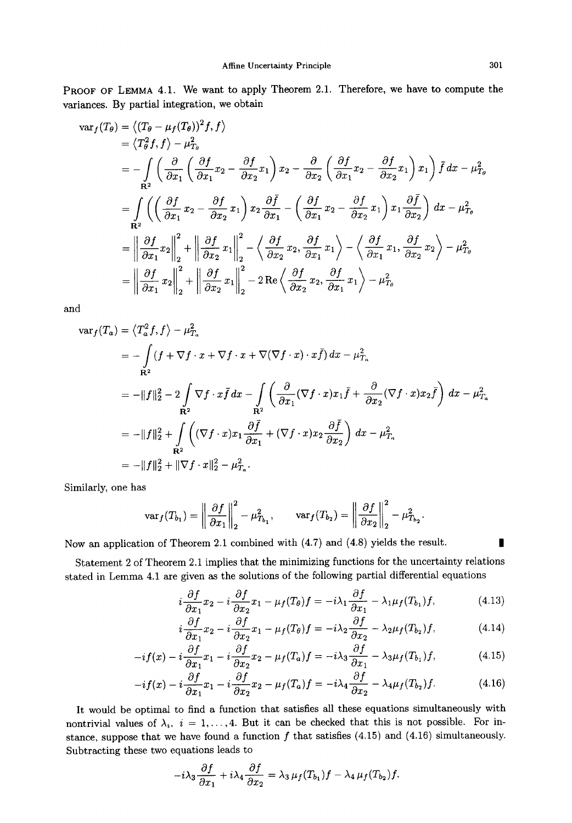PROOF OF LEMMA 4.1. We want to apply Theorem 2.1. Therefore, we have to compute the variances. By partial integration, we obtain

$$
\begin{split}\n\text{var}_{f}(T_{\theta}) &= \langle (T_{\theta} - \mu_{f}(T_{\theta}))^{2} f, f \rangle \\
&= \langle T_{\theta}^{2} f, f \rangle - \mu_{T_{\theta}}^{2} \\
&= -\int \left( \frac{\partial}{\partial x_{1}} \left( \frac{\partial f}{\partial x_{1}} x_{2} - \frac{\partial f}{\partial x_{2}} x_{1} \right) x_{2} - \frac{\partial}{\partial x_{2}} \left( \frac{\partial f}{\partial x_{1}} x_{2} - \frac{\partial f}{\partial x_{2}} x_{1} \right) x_{1} \right) \bar{f} \, dx - \mu_{T_{\theta}}^{2} \\
&= \int \left( \left( \frac{\partial f}{\partial x_{1}} x_{2} - \frac{\partial f}{\partial x_{2}} x_{1} \right) x_{2} \frac{\partial \bar{f}}{\partial x_{1}} - \left( \frac{\partial f}{\partial x_{1}} x_{2} - \frac{\partial f}{\partial x_{2}} x_{1} \right) x_{1} \frac{\partial \bar{f}}{\partial x_{2}} \right) \, dx - \mu_{T_{\theta}}^{2} \\
&= \left\| \frac{\partial f}{\partial x_{1}} x_{2} \right\|_{2}^{2} + \left\| \frac{\partial f}{\partial x_{2}} x_{1} \right\|_{2}^{2} - \left\langle \frac{\partial f}{\partial x_{2}} x_{2}, \frac{\partial f}{\partial x_{1}} x_{1} \right\rangle - \left\langle \frac{\partial f}{\partial x_{1}} x_{1}, \frac{\partial f}{\partial x_{2}} x_{2} \right\rangle - \mu_{T_{\theta}}^{2} \\
&= \left\| \frac{\partial f}{\partial x_{1}} x_{2} \right\|_{2}^{2} + \left\| \frac{\partial f}{\partial x_{2}} x_{1} \right\|_{2}^{2} - 2 \operatorname{Re} \left\langle \frac{\partial f}{\partial x_{2}} x_{2}, \frac{\partial f}{\partial x_{1}} x_{1} \right\rangle - \mu_{T_{\theta}}^{2}\n\end{split}
$$

and

$$
\begin{split}\n\text{var}_f(T_a) &= \langle T_a^2 f, f \rangle - \mu_{T_a}^2 \\
&= -\int (f + \nabla f \cdot x + \nabla f \cdot x + \nabla (\nabla f \cdot x) \cdot x \bar{f}) \, dx - \mu_{T_a}^2 \\
&= -\|f\|_2^2 - 2 \int \nabla f \cdot x \bar{f} \, dx - \int \left( \frac{\partial}{\partial x_1} (\nabla f \cdot x) x_1 \bar{f} + \frac{\partial}{\partial x_2} (\nabla f \cdot x) x_2 \bar{f} \right) \, dx - \mu_{T_a}^2 \\
&= -\|f\|_2^2 + \int \left( (\nabla f \cdot x) x_1 \frac{\partial \bar{f}}{\partial x_1} + (\nabla f \cdot x) x_2 \frac{\partial \bar{f}}{\partial x_2} \right) \, dx - \mu_{T_a}^2 \\
&= -\|f\|_2^2 + \|\nabla f \cdot x\|_2^2 - \mu_{T_a}^2.\n\end{split}
$$

Similarly, one has

$$
\text{var}_f(T_{b_1}) = \left\| \frac{\partial f}{\partial x_1} \right\|_2^2 - \mu_{T_{b_1}}^2, \qquad \text{var}_f(T_{b_2}) = \left\| \frac{\partial f}{\partial x_2} \right\|_2^2 - \mu_{T_{b_2}}^2.
$$

Now an application of Theorem 2.1 combined with (4.7) and (4.8) yields the result.

Statement 2 of Theorem 2.1 implies that the minimizing functions for the uncertainty relations stated in Lemma 4.1 are given as the solutions of the following partial differential equations

$$
i\frac{\partial f}{\partial x_1}x_2 - i\frac{\partial f}{\partial x_2}x_1 - \mu_f(T_\theta)f = -i\lambda_1\frac{\partial f}{\partial x_1} - \lambda_1\mu_f(T_{b_1})f,\tag{4.13}
$$

$$
i\frac{\partial f}{\partial x_1}x_2 - i\frac{\partial f}{\partial x_2}x_1 - \mu_f(T_\theta)f = -i\lambda_2\frac{\partial f}{\partial x_2} - \lambda_2\mu_f(T_{b_2})f,\tag{4.14}
$$

$$
-if(x) - i\frac{\partial f}{\partial x_1}x_1 - i\frac{\partial f}{\partial x_2}x_2 - \mu_f(T_a)f = -i\lambda_3\frac{\partial f}{\partial x_1} - \lambda_3\mu_f(T_{b_1})f,\tag{4.15}
$$

$$
-if(x) - i\frac{\partial f}{\partial x_1}x_1 - i\frac{\partial f}{\partial x_2}x_2 - \mu_f(T_a)f = -i\lambda_4 \frac{\partial f}{\partial x_2} - \lambda_4 \mu_f(T_{b_2})f. \tag{4.16}
$$

It would be optimal to find a function that satisfies all these equations simultaneously with nontrivial values of  $\lambda_i$ ,  $i = 1, \ldots, 4$ . But it can be checked that this is not possible. For instance, suppose that we have found a function  $f$  that satisfies (4.15) and (4.16) simultaneously. Subtracting these two equations leads to

$$
-i\lambda_3 \frac{\partial f}{\partial x_1} + i\lambda_4 \frac{\partial f}{\partial x_2} = \lambda_3 \mu_f(T_{b_1}) f - \lambda_4 \mu_f(T_{b_2}) f.
$$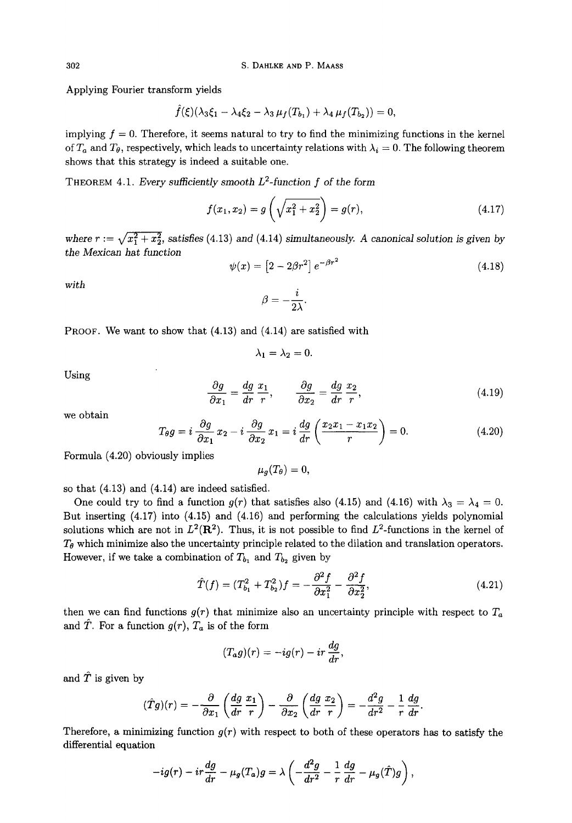Applying Fourier transform yields

$$
\hat{f}(\xi)(\lambda_3\xi_1-\lambda_4\xi_2-\lambda_3\,\mu_f(T_{b_1})+\lambda_4\,\mu_f(T_{b_2}))=0,
$$

implying  $f = 0$ . Therefore, it seems natural to try to find the minimizing functions in the kernel of  $T_a$  and  $T_\theta$ , respectively, which leads to uncertainty relations with  $\lambda_i = 0$ . The following theorem shows that this strategy is indeed a suitable one.

THEOREM 4.1. *Every sufficiently smooth L2-function f of the form* 

$$
f(x_1, x_2) = g\left(\sqrt{x_1^2 + x_2^2}\right) = g(r),\tag{4.17}
$$

where  $r := \sqrt{x_1^2 + x_2^2}$ , satisfies (4.13) and (4.14) simultaneously. A canonical solution is given by *the Mexican hat function* 

$$
\psi(x) = \left[2 - 2\beta r^2\right]e^{-\beta r^2} \tag{4.18}
$$

*with* 

$$
\beta=-\frac{i}{2\lambda}.
$$

PROOF. We want to show that (4.13) and (4.14) are satisfied with

$$
\lambda_1=\lambda_2=0.
$$

Using

$$
\frac{\partial g}{\partial x_1} = \frac{dg}{dr} \frac{x_1}{r}, \qquad \frac{\partial g}{\partial x_2} = \frac{dg}{dr} \frac{x_2}{r}, \tag{4.19}
$$

we obtain

$$
T_{\theta}g = i \frac{\partial g}{\partial x_1} x_2 - i \frac{\partial g}{\partial x_2} x_1 = i \frac{dg}{dr} \left( \frac{x_2 x_1 - x_1 x_2}{r} \right) = 0. \tag{4.20}
$$

Formula (4.20) obviously implies

 $\mu_q(T_\theta) = 0$ ,

so that (4.13) and (4.14) are indeed satisfied.

One could try to find a function  $g(r)$  that satisfies also (4.15) and (4.16) with  $\lambda_3 = \lambda_4 = 0$ . But inserting (4.17) into (4.15) and (4.16) and performing the calculations yields polynomial solutions which are not in  $L^2(\mathbf{R}^2)$ . Thus, it is not possible to find  $L^2$ -functions in the kernel of  $T_{\theta}$  which minimize also the uncertainty principle related to the dilation and translation operators. However, if we take a combination of  $T_{b_1}$  and  $T_{b_2}$  given by

$$
\hat{T}(f) = (T_{b_1}^2 + T_{b_2}^2)f = -\frac{\partial^2 f}{\partial x_1^2} - \frac{\partial^2 f}{\partial x_2^2},\tag{4.21}
$$

then we can find functions  $g(r)$  that minimize also an uncertainty principle with respect to  $T_a$ and  $\hat{T}$ . For a function  $g(r)$ ,  $T_a$  is of the form

$$
(T_a g)(r) = -ig(r) - ir\frac{dg}{dr},
$$

and  $\hat{T}$  is given by

$$
(\hat{T}g)(r) = -\frac{\partial}{\partial x_1} \left( \frac{dg}{dr} \frac{x_1}{r} \right) - \frac{\partial}{\partial x_2} \left( \frac{dg}{dr} \frac{x_2}{r} \right) = -\frac{d^2g}{dr^2} - \frac{1}{r} \frac{dg}{dr}.
$$

Therefore, a minimizing function  $g(r)$  with respect to both of these operators has to satisfy the differential equation

$$
-ig(r) - ir\frac{dg}{dr} - \mu_g(T_a)g = \lambda \left( -\frac{d^2g}{dr^2} - \frac{1}{r}\frac{dg}{dr} - \mu_g(\hat{T})g \right),
$$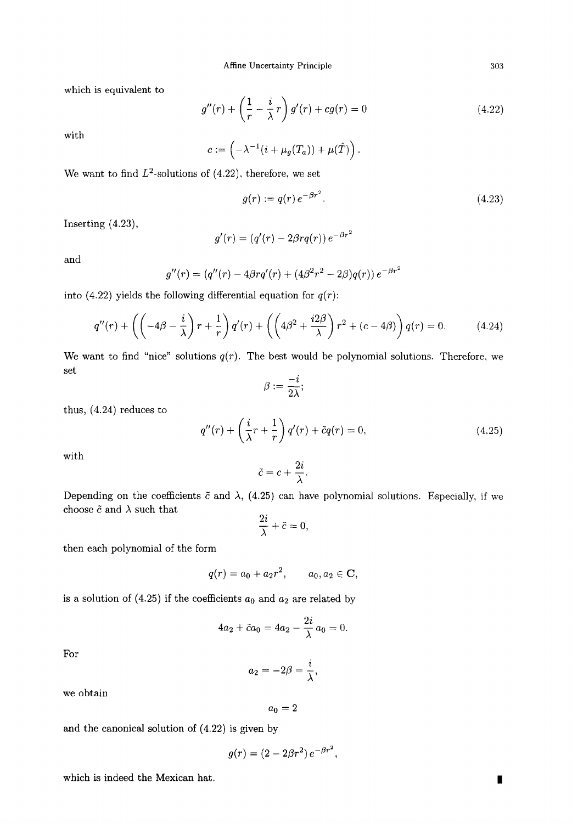which is equivalent to

$$
g''(r) + \left(\frac{1}{r} - \frac{i}{\lambda}r\right)g'(r) + cg(r) = 0\tag{4.22}
$$

with

$$
c:=\left(-\lambda^{-1}(i+\mu_g(T_a))+\mu(\hat{T})\right).
$$

We want to find  $L^2$ -solutions of (4.22), therefore, we set

$$
g(r) := q(r) \, e^{-\beta r^2}.
$$
\n(4.23)

Inserting (4.23),

$$
g'(r) = (q'(r) - 2\beta r q(r)) e^{-\beta r^2}
$$

and

$$
g''(r) = (q''(r) - 4\beta r q'(r) + (4\beta^2 r^2 - 2\beta) q(r)) e^{-\beta r^2}
$$

into (4.22) yields the following differential equation for  $q(r)$ :

$$
q''(r) + \left(\left(-4\beta - \frac{i}{\lambda}\right)r + \frac{1}{r}\right)q'(r) + \left(\left(4\beta^2 + \frac{i2\beta}{\lambda}\right)r^2 + (c - 4\beta)\right)q(r) = 0. \tag{4.24}
$$

We want to find "nice" solutions  $q(r)$ . The best would be polynomial solutions. Therefore, we set

$$
\beta:=\frac{-i}{2\lambda};
$$

thus, (4.24) reduces to

$$
q''(r) + \left(\frac{i}{\lambda}r + \frac{1}{r}\right)q'(r) + \tilde{c}q(r) = 0,
$$
\n(4.25)

with

$$
\tilde{c} = c + \frac{2i}{\lambda}.
$$

Depending on the coefficients  $\tilde{c}$  and  $\lambda$ , (4.25) can have polynomial solutions. Especially, if we choose  $\tilde{c}$  and  $\lambda$  such that

$$
\frac{2i}{\lambda} + \tilde{c} = 0,
$$

then each polynomial of the form

$$
q(r) = a_0 + a_2r^2
$$
,  $a_0, a_2 \in \mathbf{C}$ ,

is a solution of (4.25) if the coefficients  $a_0$  and  $a_2$  are related by

$$
4a_2 + \tilde{c}a_0 = 4a_2 - \frac{2i}{\lambda}a_0 = 0.
$$

For

$$
a_2=-2\beta=\frac{i}{\lambda},
$$

we obtain

 $a_0 = 2$ 

and the canonical solution of (4.22) is given by

$$
g(r)=(2-2\beta r^2)\,e^{-\beta r^2},
$$

which is indeed the Mexican hat.  $\hfill\blacksquare$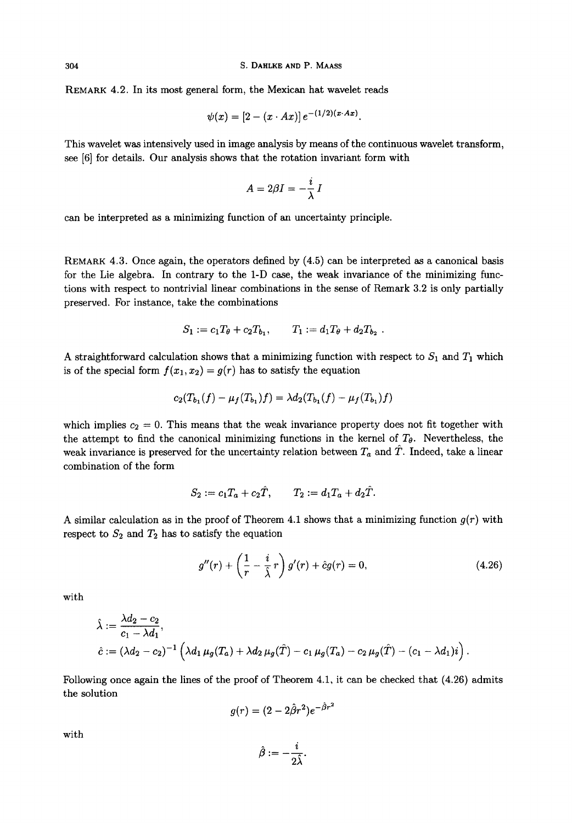REMARK 4.2. In its most general form, the Mexican hat wavelet reads

$$
\psi(x) = [2 - (x \cdot Ax)] e^{-(1/2)(x \cdot Ax)}.
$$

This wavelet was intensively used in image analysis by means of the continuous wavelet transform, see [6] for details. Our analysis shows that the rotation invariant form with

$$
A=2\beta I=-\frac{i}{\lambda}\,I
$$

can be interpreted as a minimizing function of an uncertainty principle.

REMARK 4.3. Once again, the operators defined by (4.5) can be interpreted as a canonical basis for the Lie algebra. In contrary to the 1-D case, the weak invariance of the minimizing functions with respect to nontrivial linear combinations in the sense of Remark 3.2 is only partially preserved. For instance, take the combinations

$$
S_1 := c_1 T_{\theta} + c_2 T_{b_1}, \qquad T_1 := d_1 T_{\theta} + d_2 T_{b_2} .
$$

A straightforward calculation shows that a minimizing function with respect to  $S_1$  and  $T_1$  which is of the special form  $f(x_1, x_2) = g(r)$  has to satisfy the equation

$$
c_2(T_{b_1}(f) - \mu_f(T_{b_1})f) = \lambda d_2(T_{b_1}(f) - \mu_f(T_{b_1})f)
$$

which implies  $c_2 = 0$ . This means that the weak invariance property does not fit together with the attempt to find the canonical minimizing functions in the kernel of  $T_{\theta}$ . Nevertheless, the weak invariance is preserved for the uncertainty relation between  $T_a$  and  $\hat{T}$ . Indeed, take a linear combination of the form

$$
S_2 := c_1 T_a + c_2 \hat{T}, \qquad T_2 := d_1 T_a + d_2 \hat{T}.
$$

A similar calculation as in the proof of Theorem 4.1 shows that a minimizing function  $g(r)$  with respect to  $S_2$  and  $T_2$  has to satisfy the equation

$$
g''(r) + \left(\frac{1}{r} - \frac{i}{\hat{\lambda}}r\right)g'(r) + \hat{c}g(r) = 0, \qquad (4.26)
$$

with

$$
\hat{\lambda} := \frac{\lambda d_2 - c_2}{c_1 - \lambda d_1},
$$
\n
$$
\hat{c} := (\lambda d_2 - c_2)^{-1} \left( \lambda d_1 \mu_g(T_a) + \lambda d_2 \mu_g(\hat{T}) - c_1 \mu_g(T_a) - c_2 \mu_g(\hat{T}) - (c_1 - \lambda d_1)i \right).
$$

Following once again the lines of the proof of Theorem 4.1, it can be checked that (4.26) admits the solution

$$
g(r)=(2-2\hat{\beta}r^2)e^{-\hat{\beta}r^2}
$$

with

$$
\hat{\beta}:=-\frac{i}{2\hat{\lambda}}.
$$